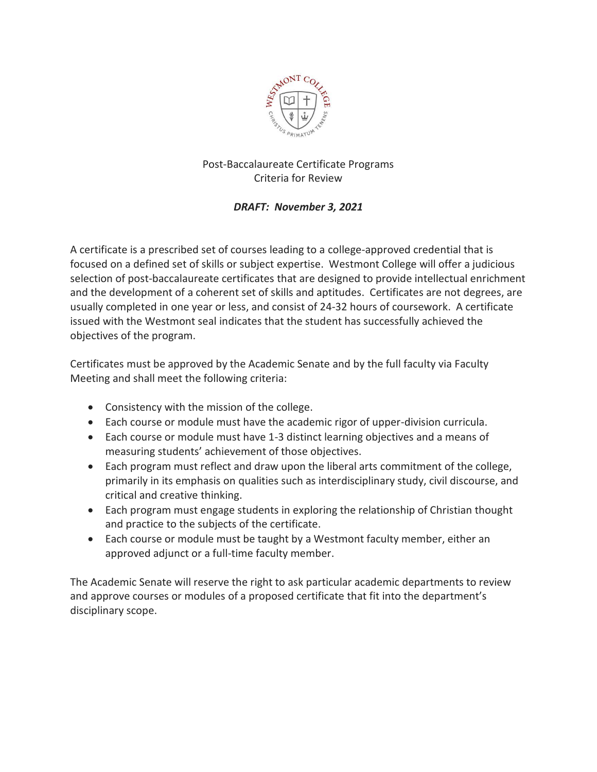

## Post-Baccalaureate Certificate Programs Criteria for Review

## *DRAFT: November 3, 2021*

A certificate is a prescribed set of courses leading to a college-approved credential that is focused on a defined set of skills or subject expertise. Westmont College will offer a judicious selection of post-baccalaureate certificates that are designed to provide intellectual enrichment and the development of a coherent set of skills and aptitudes. Certificates are not degrees, are usually completed in one year or less, and consist of 24-32 hours of coursework. A certificate issued with the Westmont seal indicates that the student has successfully achieved the objectives of the program.

Certificates must be approved by the Academic Senate and by the full faculty via Faculty Meeting and shall meet the following criteria:

- Consistency with the mission of the college.
- Each course or module must have the academic rigor of upper-division curricula.
- Each course or module must have 1-3 distinct learning objectives and a means of measuring students' achievement of those objectives.
- Each program must reflect and draw upon the liberal arts commitment of the college, primarily in its emphasis on qualities such as interdisciplinary study, civil discourse, and critical and creative thinking.
- Each program must engage students in exploring the relationship of Christian thought and practice to the subjects of the certificate.
- Each course or module must be taught by a Westmont faculty member, either an approved adjunct or a full-time faculty member.

The Academic Senate will reserve the right to ask particular academic departments to review and approve courses or modules of a proposed certificate that fit into the department's disciplinary scope.